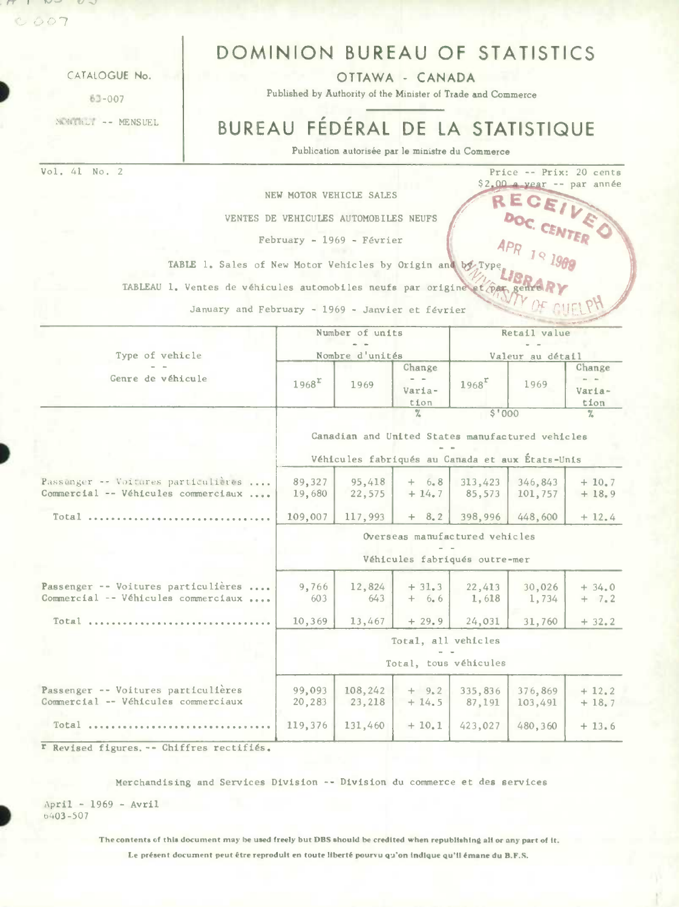$COO7$ 

 $\mathcal{L}_{\mathcal{A}}(x) = \mathcal{L}_{\mathcal{A}}(x) + \mathcal{L}_{\mathcal{A}}(x)$ 

CATALOGUE No.

63-007

NONTHET -- MENSUEL

Vol. 41 No. 2

DOMINION BUREAU OF STATISTICS

OTTAWA - CANADA

Published by Authority of the Minister of Trade and Commerce

# BUREAU FÉDÉRAL DE LA STATISTIQUE

Price -- Prix: 20 cents  $$2.00$  a year -- par année

RECEIVE

Publication autorisée par le ministre du Commerce

NEW MOTOR VEHICLE SALES

VENTES DE VEHICULES AUTOMOBILES NEUFS

February - 1969 - Février

TABLE 1. Sales of New Motor Vehicles by Origin and by Type

TABLEAU 1. Ventes de véhicules automobiles neufs par origine et par

January and February - 1969 - Janvier et février

|                                     |                                                                 | Number of units |                                                                                                     | Retail value        |         |                  |  |  |  |
|-------------------------------------|-----------------------------------------------------------------|-----------------|-----------------------------------------------------------------------------------------------------|---------------------|---------|------------------|--|--|--|
|                                     |                                                                 |                 |                                                                                                     |                     |         |                  |  |  |  |
| Type of vehicle                     |                                                                 | Nombre d'unités |                                                                                                     | Valeur au détail    |         |                  |  |  |  |
| Genre de véhicule                   | $1968$ <sup>r</sup>                                             | 1969            | Change<br>Varia-                                                                                    | $1968$ <sup>r</sup> | 1969    | Change<br>Varia- |  |  |  |
|                                     |                                                                 |                 | tion                                                                                                |                     |         | tion             |  |  |  |
|                                     |                                                                 |                 | $\frac{9}{4}$                                                                                       | \$'000              |         | $\frac{9}{4}$    |  |  |  |
|                                     |                                                                 |                 | Canadian and United States manufactured vehicles<br>Véhicules fabriqués au Canada et aux États-Unis |                     |         |                  |  |  |  |
|                                     |                                                                 |                 |                                                                                                     |                     |         |                  |  |  |  |
| Passenger -- Voitures particulières | 89,327                                                          | 95,418          | $+ 6.8$                                                                                             | 313,423             | 346,843 | $+10.7$          |  |  |  |
| Commercial -- Véhicules commerciaux | 19,680                                                          | 22,575          | $+14.7$                                                                                             | 85,573              | 101,757 | $+18.9$          |  |  |  |
| $Total$                             | 109,007                                                         | 117,993         | $+ 8.2$                                                                                             | 398,996             | 448,600 | $+12.4$          |  |  |  |
|                                     | Overseas manufactured vehicles<br>Véhicules fabriqués outre-mer |                 |                                                                                                     |                     |         |                  |  |  |  |
|                                     |                                                                 |                 |                                                                                                     |                     |         |                  |  |  |  |
| Passenger -- Voitures particulières | 9,766                                                           | 12,824          | $+31.3$                                                                                             | 22,413              | 30,026  | $+34.0$          |  |  |  |
| Commercial -- Véhicules commerciaux | 603                                                             | 643             | $+ 6.6$                                                                                             | 1,618               | 1,734   | $+ 7.2$          |  |  |  |
|                                     |                                                                 |                 |                                                                                                     |                     |         |                  |  |  |  |
| Total                               | 10,369                                                          | 13,467          | $+29.9$                                                                                             | 24,031              | 31,760  | $+32.2$          |  |  |  |
|                                     | Total, all vehicles                                             |                 |                                                                                                     |                     |         |                  |  |  |  |
|                                     | Total, tous véhicules                                           |                 |                                                                                                     |                     |         |                  |  |  |  |
|                                     |                                                                 |                 |                                                                                                     |                     |         |                  |  |  |  |
| Passenger -- Voitures particulières | 99,093                                                          | 108,242         | $+9.2$                                                                                              | 335,836             | 376,869 | $+12.2$          |  |  |  |
| Commercial -- Véhicules commerciaux | 20,283                                                          | 23,218          | $+14.5$                                                                                             | 87,191              | 103,491 | $+18.7$          |  |  |  |
| Total                               | 119,376                                                         | 131,460         | $+10.1$                                                                                             | 423,027             | 480,360 | $+13.6$          |  |  |  |
|                                     |                                                                 |                 |                                                                                                     |                     |         |                  |  |  |  |

r Revised figures. -- Chiffres rectifiés.

Merchandising and Services Division -- Division du commerce et des services

 $April - 1969 - Avril$  $6403 - 507$ 

The contents of this document may be used freely but DBS should be credited when republishing all or any part of it.

Le présent document peut être reproduit en toute liberté pourvu qu'on indique qu'il émane du B.F.S.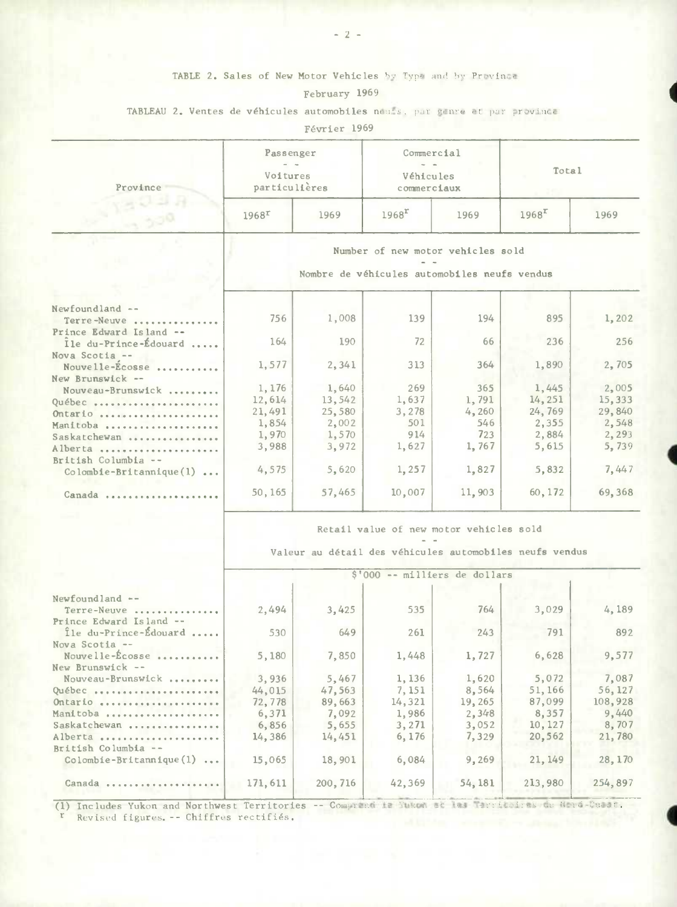# TABLE 2. Sales of New Motor Vehicles by Type and by Prevince

## February 1969

TABLEAU 2. Ventes de véhicules automobiles neurs, par genre et par province

Février 1969

|                                                  | Passenger<br>Voitures<br>particulières                  |          | Commercial                              |         | Total             |         |  |  |  |
|--------------------------------------------------|---------------------------------------------------------|----------|-----------------------------------------|---------|-------------------|---------|--|--|--|
| Province                                         |                                                         |          | Véhicules<br>commerciaux                |         |                   |         |  |  |  |
| $-11$                                            | 1968 <sup>T</sup>                                       | 1969     | $1968$ <sup>r</sup>                     | 1969    | 1968 <sup>T</sup> | 1969    |  |  |  |
|                                                  | Number of new motor vehicles sold                       |          |                                         |         |                   |         |  |  |  |
|                                                  | Nombre de véhicules automobiles neufs vendus            |          |                                         |         |                   |         |  |  |  |
|                                                  |                                                         |          |                                         |         |                   |         |  |  |  |
| Newfoundland --                                  |                                                         |          |                                         |         |                   |         |  |  |  |
| Terre-Neuve                                      | 756                                                     | 1,008    | 139                                     | 194     | 895               | 1,202   |  |  |  |
| Prince Edward Island --<br>Île du-Prince-Édouard | 164                                                     | 190      | 72                                      | 66      | 236               | 256     |  |  |  |
| Nova Scotia --<br>Nouvelle-Écosse                | 1,577                                                   | 2,341    | 313                                     | 364     | 1,890             | 2,705   |  |  |  |
| New Brunswick --                                 |                                                         |          |                                         |         |                   |         |  |  |  |
| Nouveau-Brunswick                                | 1,176                                                   | 1,640    | 269                                     | 365     | 1,445             | 2,005   |  |  |  |
| Québec                                           | 12,614                                                  | 13,542   | 1,637                                   | 1,791   | 14,251            | 15,333  |  |  |  |
| Ontario                                          | 21,491                                                  | 25,580   | 3,278                                   | 4,260   | 24,769            | 29,840  |  |  |  |
| Manitoba                                         | 1,854                                                   | 2,002    | 501                                     | 546     | 2,355             | 2,548   |  |  |  |
| Saskatchewan                                     | 1,970                                                   | 1,570    | 914                                     | 723     | 2,884             | 2,293   |  |  |  |
| Alberta                                          | 3,988                                                   | 3,972    | 1,627                                   | 1,767   | 5,615             | 5,739   |  |  |  |
| British Columbia --                              |                                                         |          |                                         |         |                   |         |  |  |  |
| $\text{Colombie-Britannique}(1) \ldots$          | 4,575                                                   | 5,620    | 1,257                                   | 1,827   | 5,832             | 7,447   |  |  |  |
| Canada                                           | 50, 165                                                 | 57,465   | 10,007                                  | 11,903  | 60,172            | 69,368  |  |  |  |
|                                                  |                                                         |          |                                         |         |                   |         |  |  |  |
|                                                  |                                                         |          | Retail value of new motor vehicles sold |         |                   |         |  |  |  |
|                                                  | Valeur au détail des véhicules automobiles neufs vendus |          |                                         |         |                   |         |  |  |  |
|                                                  | \$'000 -- milliers de dollars                           |          |                                         |         |                   |         |  |  |  |
| Newfoundland --                                  |                                                         |          |                                         |         |                   |         |  |  |  |
| Terre-Neuve                                      | 2,494                                                   | 3,425    | 535                                     | 764     | 3,029             | 4,189   |  |  |  |
| Prince Edward Island --                          |                                                         |          |                                         |         |                   |         |  |  |  |
| Île du-Prince-Édouard<br>Nova Scotia --          | 530                                                     | 649      | 261                                     | 243     | 791               | 892     |  |  |  |
| Nouvelle-Écosse<br>New Brunswick --              | 5,180                                                   | 7,850    | 1,448                                   | 1,727   | 6,628             | 9,577   |  |  |  |
| Nouveau-Brunswick                                | 3,936                                                   | 5,467    | 1,136                                   | 1,620   | 5,072             | 7,087   |  |  |  |
| Québec                                           | 44,015                                                  | 47,563   | 7,151                                   | 8,564   | 51,166            | 56, 127 |  |  |  |
| Ontario                                          | 72,778                                                  | 89,663   | 14,321                                  | 19,265  | 87,099            | 108,928 |  |  |  |
| Manitoba                                         | 6,371                                                   | 7,092    | 1,986                                   | 2,348   | 8,357             | 9,440   |  |  |  |
| Saskatchewan                                     | 6,856                                                   | 5,655    | 3,271                                   | 3,052   | 10, 127           | 8,707   |  |  |  |
| Alberta                                          | 14,386                                                  | 14,451   | 6,176                                   | 7,329   | 20,562            | 21,780  |  |  |  |
| British Columbia --                              |                                                         |          |                                         |         |                   |         |  |  |  |
| $\text{Colombie-Britannique}(1) \ldots$          | 15,065                                                  | 18,901   | 6,084                                   | 9,269   | 21, 149           | 28, 170 |  |  |  |
| Canada                                           | 171, 611                                                | 200, 716 | 42,369                                  | 54, 181 | 213,980           | 254,897 |  |  |  |

(1) Includes Yukon and Northwest Territories -- Comprend is Jukon at las Territoires du Herd-Cusat.<br><sup>1</sup> Revised figures. -- Chiffres rectifiés.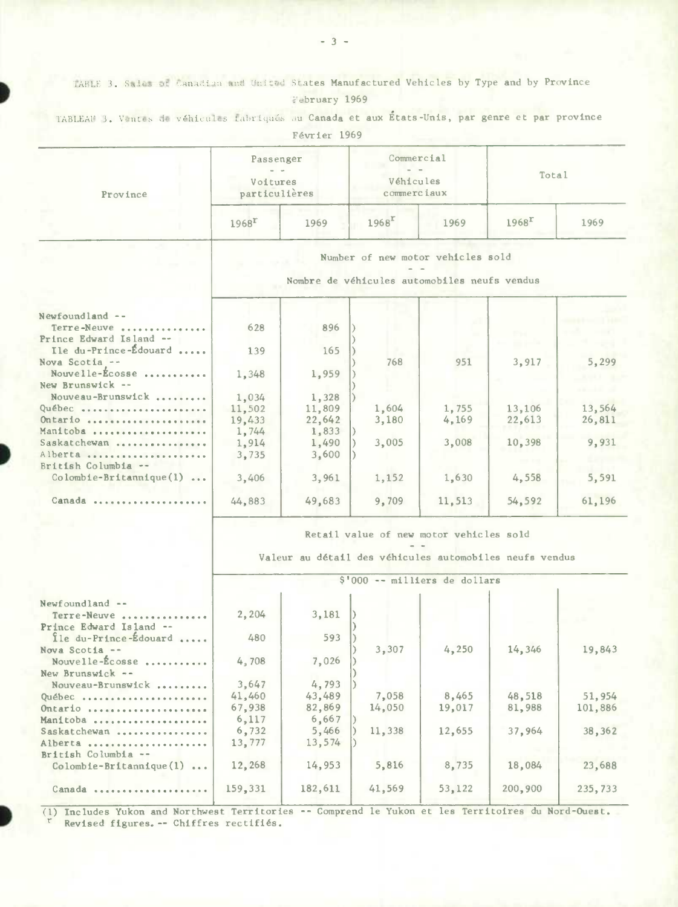TABLE 3. Sales of Canadian and United States Manufactured Vehicles by Type and by Province

February 1969

TABLEAU 3. Ventes de véhicules fabriqués au Canada et aux États-Unis, par genre et par province Février 1969

| Province                                                   | Passenger<br>Voitures<br>particulières |                                                                                   | Commercial<br>Véhicules<br>commerciaux |                 | Total               |                 |
|------------------------------------------------------------|----------------------------------------|-----------------------------------------------------------------------------------|----------------------------------------|-----------------|---------------------|-----------------|
|                                                            | $1968^{\text{T}}$                      | 1969                                                                              | 1968 <sup>F</sup>                      | 1969            | $1968$ <sup>r</sup> | 1969            |
|                                                            |                                        | Number of new motor vehicles sold<br>Nombre de véhicules automobiles neufs vendus |                                        |                 |                     |                 |
| $Newtondland --$<br>Terre-Neuve<br>Prince Edward Island -- | 628                                    | 896                                                                               |                                        |                 | <b>B</b> rave       |                 |
| Ile du-Prince-Édouard<br>Nova Scotia --<br>Nouvelle-Écosse | 139<br>1,348                           | 165<br>1,959                                                                      | 768                                    | 951             | 3,917               | 5,299           |
| New Brunswick --<br>Nouveau-Brunswick<br>Québec            | 1,034<br>11,502                        | 1,328<br>11,809                                                                   | 1,604                                  | 1,755           | 13,106              | 13,564          |
| Ontario<br>Manitoba<br>Saskatchewan                        | 19,433<br>1,744<br>1,914               | 22,642<br>1,833<br>1,490                                                          | 3,180<br>3,005                         | 4,169<br>3,008  | 22,613<br>10,398    | 26,811<br>9,931 |
| Alberta<br>British Columbia --                             | 3,735                                  | 3,600                                                                             |                                        |                 |                     |                 |
| $Colomb1e-Brittann1que(1) $<br>Canada                      | 3,406<br>44.883                        | 3,961<br>49.683                                                                   | 1,152<br>9.709                         | 1,630<br>11.513 | 4,558<br>54.592     | 5,591<br>61.196 |

Retail value of new motor vehicles sold  $\sim$   $\sim$ 

Valeur au détail des véhicules automobiles neufs vendus  $-1$ 

|                            | 5'UUU -- milliers de dollars |         |        |        |         |         |  |
|----------------------------|------------------------------|---------|--------|--------|---------|---------|--|
| Newfoundland --            |                              |         |        |        |         |         |  |
| Terre-Neuve                | 2,204                        | 3,181   |        |        |         |         |  |
| Prince Edward Island --    |                              |         |        |        |         |         |  |
| fle du-Prince-Édouard      | 480                          | 593     |        |        |         |         |  |
| Nova Scotia $-$            |                              |         | 3,307  | 4,250  | 14,346  | 19,843  |  |
| Nouvelle-Écosse            | 4.708                        | 7.026   |        |        |         |         |  |
| New Brunswick --           |                              |         |        |        |         |         |  |
| Nouveau-Brunswick          | 3.647                        | 4,793   |        |        |         |         |  |
| Québec                     | 41,460                       | 43,489  | 7,058  | 8,465  | 48,518  | 51,954  |  |
| $0$ ntario                 | 67,938                       | 82,869  | 14,050 | 19,017 | 81,988  | 101,886 |  |
| Manitoba                   | 6,117                        | 6,667   |        |        |         |         |  |
| Saskatchewan               | 6,732                        | 5,466   | 11,338 | 12,655 | 37.964  | 38,362  |  |
| Alberta                    | 13,777                       | 13,574  |        |        |         |         |  |
| British Columbia --        |                              |         |        |        |         |         |  |
| $Colomb1e-Br1tann1que(1) $ | 12,268                       | 14,953  | 5,816  | 8,735  | 18,084  | 23,688  |  |
| Canada                     | 159,331                      | 182.611 | 41.569 | 53,122 | 200,900 | 235,733 |  |
|                            |                              |         |        |        |         |         |  |

 $01000$ 

Includes Yukon and Northwest Territories -- Comprend le Yukon et les Territoires du Nord-Ouest.  $(1)$ Revised figures. -- Chiffres rectifiés.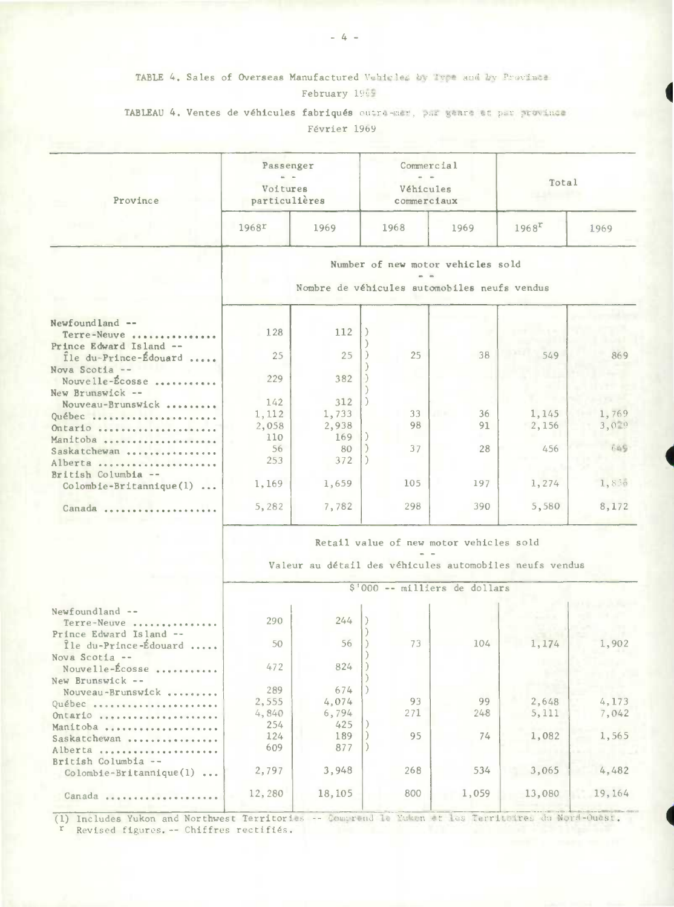### TABLE 4. Sales of Overseas Manufactured Vehicles by Type and by Province February 1969

TABLEAU 4. Ventes de véhicules fabriqués outre-mer, par genre et par province Février 1969

| Province                                | Passenger<br>Voitures<br>particulières                                                             |        |  | Commercial<br>Véhicules<br>commerciaux |       | Total             |        |  |  |
|-----------------------------------------|----------------------------------------------------------------------------------------------------|--------|--|----------------------------------------|-------|-------------------|--------|--|--|
|                                         | 1968r                                                                                              | 1969   |  | 1968                                   | 1969  | $1968^{\text{T}}$ | 1969   |  |  |
|                                         | Number of new motor vehicles sold<br>Nombre de véhicules automobiles neufs vendus                  |        |  |                                        |       |                   |        |  |  |
|                                         |                                                                                                    |        |  |                                        |       |                   |        |  |  |
| Newfoundland --<br>Terre-Neuve          | 128                                                                                                | 112    |  |                                        |       |                   |        |  |  |
| Prince Edward Island --                 |                                                                                                    |        |  |                                        |       |                   |        |  |  |
| Ile du-Prince-Édouard                   | 25                                                                                                 | 25     |  | 25                                     | 38    | 549               | 869    |  |  |
| Nova Scotia --                          |                                                                                                    |        |  |                                        |       |                   |        |  |  |
| Nouvelle-Écosse                         | 229                                                                                                | 382    |  |                                        |       |                   |        |  |  |
| New Brunswick --                        |                                                                                                    |        |  |                                        |       |                   |        |  |  |
| Nouveau-Brunswick                       | 142                                                                                                | 312    |  |                                        |       |                   |        |  |  |
| Québec                                  | 1,112                                                                                              | 1,733  |  | 33                                     | 36    | 1,145             | 1,769  |  |  |
| Ontario                                 | 2,058                                                                                              | 2,938  |  | 98                                     | 91    | 2,156             | 3,029  |  |  |
| Manitoba                                | 110                                                                                                | 169    |  |                                        |       |                   |        |  |  |
| Saskatchewan                            | 56                                                                                                 | 80     |  | 37                                     | 28    | 456               | 669    |  |  |
| Alberta                                 | 253                                                                                                | 372    |  |                                        |       |                   |        |  |  |
| British Columbia --                     |                                                                                                    |        |  |                                        |       |                   |        |  |  |
| $Colombie-Britannique(1) $              | 1,169                                                                                              | 1,659  |  | 105                                    | 197   | 1,274             | 1,830  |  |  |
|                                         |                                                                                                    |        |  |                                        |       |                   |        |  |  |
| Canada                                  | 5,282                                                                                              | 7,782  |  | 298                                    | 390   | 5,580             | 8,172  |  |  |
|                                         | Retail value of new motor vehicles sold<br>Valeur au détail des véhicules automobiles neufs vendus |        |  |                                        |       |                   |        |  |  |
|                                         | \$'000 -- milliers de dollars                                                                      |        |  |                                        |       |                   |        |  |  |
|                                         |                                                                                                    |        |  |                                        |       |                   |        |  |  |
| Newfoundland --                         |                                                                                                    |        |  |                                        |       |                   |        |  |  |
| Terre-Neuve                             | 290                                                                                                | 244    |  |                                        |       |                   |        |  |  |
| Prince Edward Island --                 |                                                                                                    |        |  |                                        |       |                   |        |  |  |
| Île du-Prince-Édouard                   | 50                                                                                                 | 56     |  | 73                                     | 104   | 1,174             | 1,902  |  |  |
| Nova Scotia --                          |                                                                                                    |        |  |                                        |       |                   |        |  |  |
| Nouvelle-Écosse                         | 472                                                                                                | 824    |  |                                        |       |                   |        |  |  |
| New Brunswick --                        |                                                                                                    |        |  |                                        |       |                   |        |  |  |
| Nouveau-Brunswick                       | 289                                                                                                | 674    |  |                                        |       |                   |        |  |  |
| Québec                                  | 2,555                                                                                              | 4,074  |  | 93                                     | 99    | 2,648             | 4,173  |  |  |
| Ontario                                 | 4,840                                                                                              | 6,794  |  | 271                                    | 248   | 5,111             | 7,042  |  |  |
| Manitoba                                | 254                                                                                                | 425    |  |                                        |       |                   |        |  |  |
| Saskatchewan                            | 124                                                                                                | 189    |  | 95                                     | 74    | 1,082             | 1,565  |  |  |
| Alberta                                 | 609                                                                                                | 877    |  |                                        |       |                   |        |  |  |
| British Columbia --                     |                                                                                                    |        |  |                                        |       |                   |        |  |  |
| $\text{Colombie-Britannique}(1) \ldots$ | 2,797                                                                                              | 3,948  |  | 268                                    | 534   | 3,065             | 4,482  |  |  |
|                                         | 12,280                                                                                             | 18,105 |  | 800                                    | 1,059 | 13,080            | 19,164 |  |  |
| Canada                                  |                                                                                                    |        |  |                                        |       |                   |        |  |  |
|                                         |                                                                                                    |        |  |                                        |       |                   |        |  |  |

(1) Includes Yukon and Northwest Territories -- Comprend 10 Yukon et les Territoires du Nord-Ouest.<br>En Revised figures. -- Chiffres rectifiés. Revised figures. -- Chiffres rectifiés.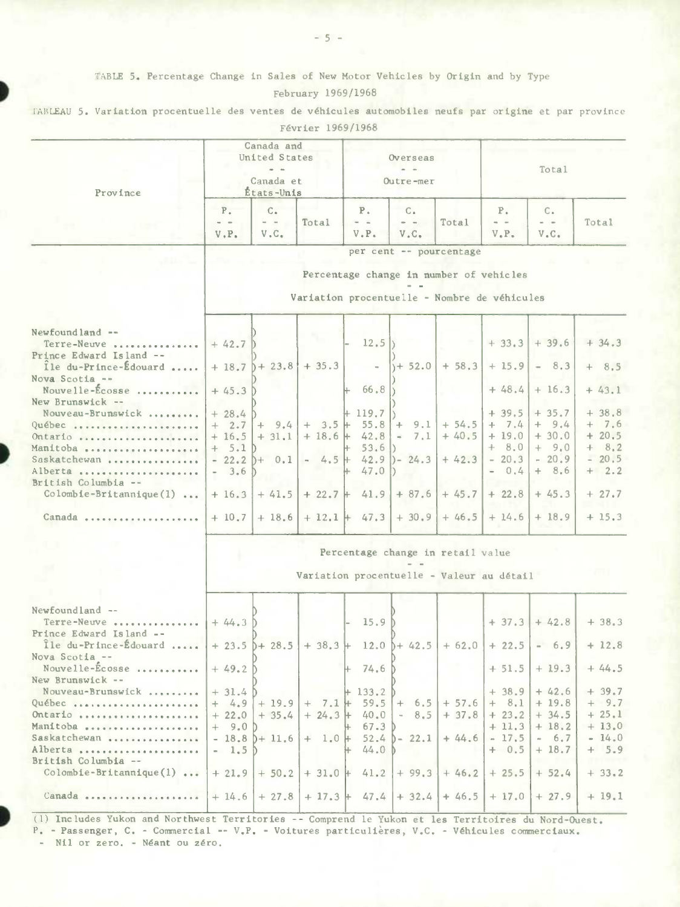#### TABLE 5. Percentage Change in Sales of New Motor Vehicles by Origin and by Type February 1969/1968

TABLEAU 5. Variation procentuelle des ventes de véhicules automobiles neufs par origine et par province Février 1969/1968 Canada and United States Overseas  $-$ Total Canada et Outre-mer États-Unis Province  $P<sub>z</sub>$  $C_{\star}$  $P.$  $C<sub>n</sub>$  $\mathbb{P}$  .  $C_{\star}$  $\sim$   $-$ Total  $\sim$   $\sim$ Total  $=$   $=$ Total  $=$   $=$  $\sim$   $-$ V.P.  $V.C.$ V.P.  $V.C.$  $V.P.$  $V.C.$ per cent -- pourcentage Percentage change in number of vehicles Variation procentuelle - Nombre de véhicules Newfoundland --Terre-Neuve ...............  $12.5 h$  $+33.3$  + 39.6  $+34.3$  $+42.7$ Prince Edward Island --Île du-Prince-Édouard .....  $+ 18.7 + 23.8 + 35.3$  $| + 52.0 |$  $+ 58.3$  $+15.9$  $-8.3$ **Contract**  $+ 8.5$ Nova Scotia --Nouvelle-Écosse ........... 66.8  $+48.4$  + 16.3  $+43.1$  $+45.3$ New Brunswick --Nouveau-Brunswick .........  $+39.5$  $+119.7$  $+35.7$  $+ 38.8$  $+28.4$  $+2.7$ Québec ......................  $+ 9.4$  $+ 3.5 +$  $55.8$  + 9.1  $+ 54.5$  $+ 7.4$  $+9.4$  $+ 7.6$  $0$ ntario .....................  $+40.5$  $+19.0$  $+30.0$  $+20.5$  $+16.5$  $+31.1$  $+18.6+$  $42.8$  $-7.1$ 53.6  $+ 8, 0$  $+ 9.0$  $+ 8.2$ Manitoba ....................  $+ 5.1$ D I) Saskatchewan ................  $-20.9$  $-20.5$  $-22.2$   $)+ 0.1$  $4.5$  $\vdash$ 42.9  $1) - 24.3$  $+42.3$  $-20.3$ 47.0  $-0.4$  $+ 8.6$  $+2.2$ Alberta ......................  $3.6$ I) D British Columbia -- $\text{Colomb}$ ie-Britannique(1) ...  $+41.5$  + 22.7 + 41.9 + 87.6 + 45.7 + 22.8 + 45.3  $+27.7$  $+16.3$  $+10.7$  $+18.6$  + 12.1 + 47.3 + 30.9  $+46.5$  + 14.6 + 18.9  $+15.3$ Canada .................... Percentage change in retail value Variation procentuelle - Valeur au détail Newfoundland --Terre-Neuve ...............  $15.9$  $+ 37.3 + 42.8$  $+44.3$  )  $+38.3$ Prince Edward Island --Île du-Prince-Édouard .....  $+ 23.5$   $]+ 28.5$   $+ 38.3$   $+ 12.0$   $]+ 42.5$   $+ 62.0$   $+ 22.5$  $-6.9$  $+12.8$ Nova Scotia --Nouvelle-Écosse ...........  $+49.2$ Þ  $+ 74.6 b$  $+ 51.5$  $+19.3$  $+44.5$ New Brunswick --Nouveau-Brunswick ........  $+ 39.7$  $+133.2$  $+38.9$  $+42.6$  $+ 31.4 D$  $+19.9$ Québec ......................  $+ 7.1 + 59.5 + 6.5$  $+ 57.6$  $+ 8.1$  $+19.8$  $+ 9.7$  $+ 4.9$ Ontario ......................  $+22.0$  $+ 35.4$  $+ 24.3 +$  $40.0$  $-8.5$  $+37.8$  $+23.2$  $+34.5$  $+25.1$ Manitoba .....................  $9.0<sub>b</sub>$ 67.3  $+11.3$  $+18.2$  $+13.0$  $+$ Saskatchewan ................  $+ 1.0 +$  $52.4$  $b - 22.1$  $+44.6$  $-17.5$  $-6.7$  $-14.0$  $-18.8$   $\bar{D}$  + 11.6  $+ 0.5$  $+18.7$  $+ 5.9$ Alberta , ......................  $-1.5$  $44.0$ British Columbia -- $\text{Colombie-Britannique}(1) \ldots$  $+ 21.9$  + 50.2 + 31.0 + 41.2 + 99.3  $+46.2$  + 25.5  $+ 52.4$  $+33.2$ 

(1) Includes Yukon and Northwest Territories -- Comprend le Yukon et les Territoires du Nord-Ouest. P. - Passenger, C. - Commercial -- V.P. - Voitures particulières, V.C. - Véhicules commerciaux.

 $+14.6$  + 27.8 + 17.3 + 47.4 + 32.4 + 46.5 + 17.0

 $+27.9$ 

 $+19.1$ 

- Nil or zero. - Néant ou zéro.

Canada ....................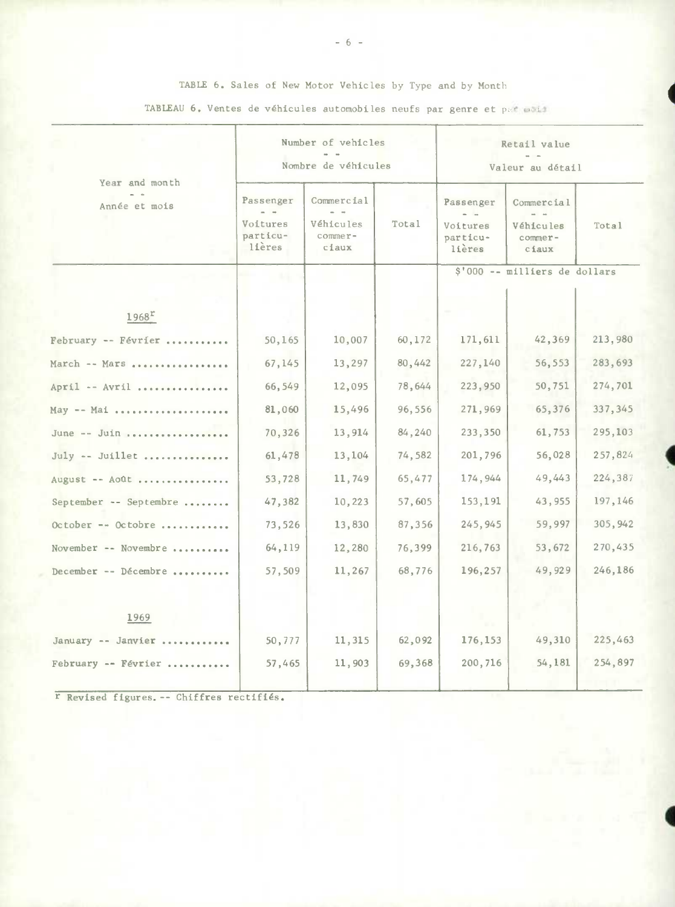#### TABLE 6. Sales of New Motor Vehicles by Type and by Month

TABLEAU 6. Ventes de véhicules automobiles neufs par genre et par mois

|                                 |                                             | Number of vehicles<br>Nombre de véhicules                |        | Retail value<br>Valeur au détail            |                                                    |          |  |
|---------------------------------|---------------------------------------------|----------------------------------------------------------|--------|---------------------------------------------|----------------------------------------------------|----------|--|
| Year and month<br>Année et mois | Passenger<br>Voitures<br>particu-<br>lières | Commercial<br>$=$ $-$<br>Véhicules<br>$commer-$<br>ciaux | Total  | Passenger<br>Voitures<br>particu-<br>lières | Commercial<br>$-$<br>Véhicules<br>commer-<br>ciaux | Total    |  |
|                                 |                                             |                                                          |        | \$'000 -- milliers de dollars               |                                                    |          |  |
| $1968^{\text{r}}$               |                                             |                                                          |        |                                             |                                                    |          |  |
| February -- Février             | 50,165                                      | 10,007                                                   | 60,172 | 171,611                                     | 42,369                                             | 213,980  |  |
| March -- Mars                   | 67,145                                      | 13,297                                                   | 80,442 | 227,140                                     | 56,553                                             | 283,693  |  |
| April -- Avril                  | 66,549                                      | 12,095                                                   | 78,644 | 223,950                                     | 50,751                                             | 274,701  |  |
| $May - - Mal$                   | 81,060                                      | 15,496                                                   | 96,556 | 271,969                                     | 65,376                                             | 337,345  |  |
| June -- Juin                    | 70,326                                      | 13,914                                                   | 84,240 | 233,350                                     | 61,753                                             | 295,103  |  |
| July -- Juillet                 | 61,478                                      | 13,104                                                   | 74,582 | 201,796                                     | 56,028                                             | 257,824  |  |
| August -- Août                  | 53,728                                      | 11,749                                                   | 65,477 | 174,944                                     | 49,443                                             | 224,387  |  |
| September -- Septembre          | 47,382                                      | 10,223                                                   | 57,605 | 153,191                                     | 43,955                                             | 197,146  |  |
| $October - 0ctobre $            | 73,526                                      | 13,830                                                   | 87,356 | 245,945                                     | 59,997                                             | 305, 942 |  |
| November -- Novembre            | 64,119                                      | 12,280                                                   | 76,399 | 216,763                                     | 53,672                                             | 270,435  |  |
| December -- Décembre            | 57,509                                      | 11,267                                                   | 68,776 | 196,257                                     | 49,929                                             | 246,186  |  |
| 1969                            |                                             |                                                          |        |                                             |                                                    |          |  |
| January -- Janvier              | 50,777                                      | 11,315                                                   | 62,092 | 176,153                                     | 49,310                                             | 225,463  |  |
| February -- Février             | 57,465                                      | 11,903                                                   | 69,368 | 200,716                                     | 54,181                                             | 254,897  |  |
|                                 |                                             |                                                          |        |                                             |                                                    |          |  |

r Revised figures. -- Chiffres rectifiés.

 $-6 -$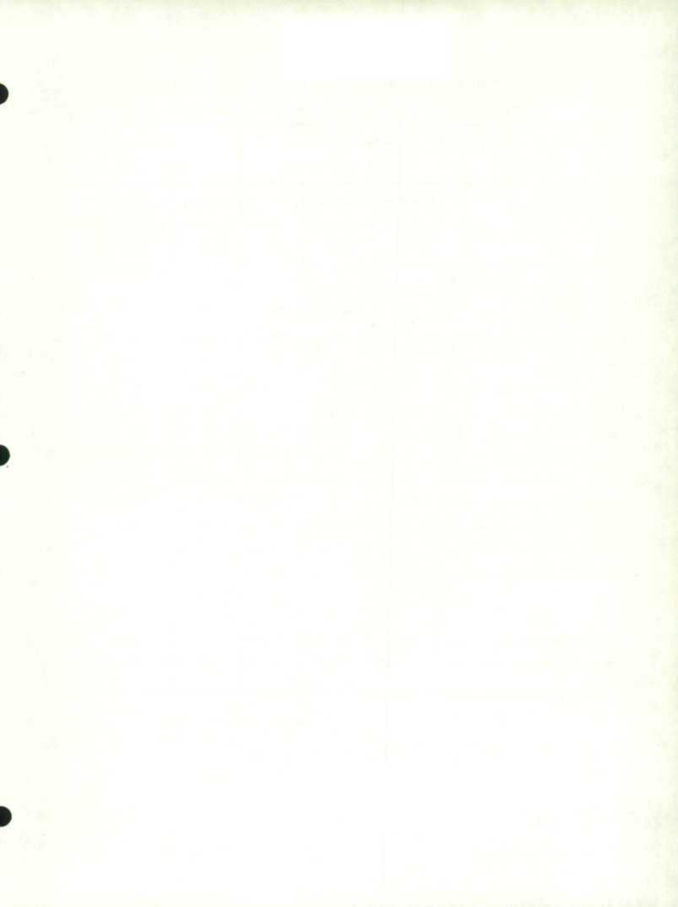